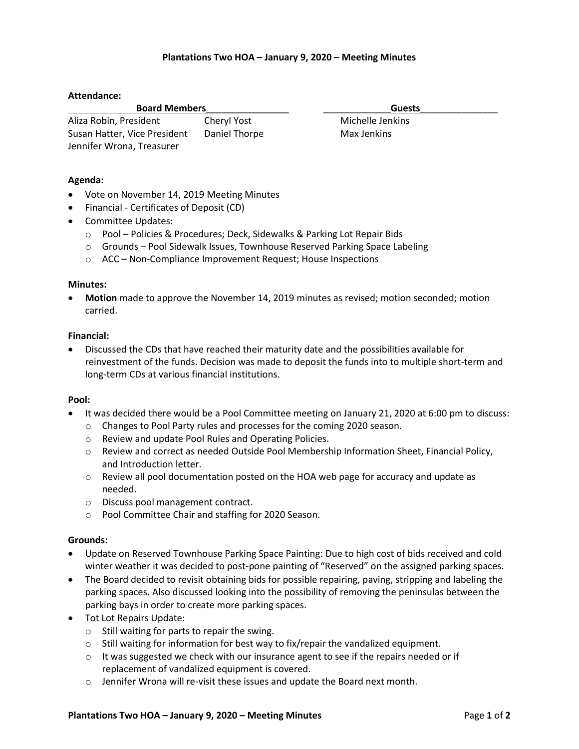## **Plantations Two HOA – January 9, 2020 – Meeting Minutes**

## **Attendance:**

| <b>Board Members</b>         |               | <b>Guests</b>    |  |
|------------------------------|---------------|------------------|--|
| Aliza Robin, President       | Cheryl Yost   | Michelle Jenkins |  |
| Susan Hatter, Vice President | Daniel Thorpe | Max Jenkins      |  |
| Jennifer Wrona, Treasurer    |               |                  |  |

## **Agenda:**

- Vote on November 14, 2019 Meeting Minutes
- Financial Certificates of Deposit (CD)
- Committee Updates:
	- o Pool Policies & Procedures; Deck, Sidewalks & Parking Lot Repair Bids
	- o Grounds Pool Sidewalk Issues, Townhouse Reserved Parking Space Labeling
	- o ACC Non-Compliance Improvement Request; House Inspections

#### **Minutes:**

 **Motion** made to approve the November 14, 2019 minutes as revised; motion seconded; motion carried.

#### **Financial:**

 Discussed the CDs that have reached their maturity date and the possibilities available for reinvestment of the funds. Decision was made to deposit the funds into to multiple short-term and long-term CDs at various financial institutions.

## **Pool:**

- It was decided there would be a Pool Committee meeting on January 21, 2020 at 6:00 pm to discuss:
	- o Changes to Pool Party rules and processes for the coming 2020 season.
	- o Review and update Pool Rules and Operating Policies.
	- o Review and correct as needed Outside Pool Membership Information Sheet, Financial Policy, and Introduction letter.
	- $\circ$  Review all pool documentation posted on the HOA web page for accuracy and update as needed.
	- o Discuss pool management contract.
	- o Pool Committee Chair and staffing for 2020 Season.

## **Grounds:**

- Update on Reserved Townhouse Parking Space Painting: Due to high cost of bids received and cold winter weather it was decided to post-pone painting of "Reserved" on the assigned parking spaces.
- The Board decided to revisit obtaining bids for possible repairing, paving, stripping and labeling the parking spaces. Also discussed looking into the possibility of removing the peninsulas between the parking bays in order to create more parking spaces.
- Tot Lot Repairs Update:
	- o Still waiting for parts to repair the swing.
	- o Still waiting for information for best way to fix/repair the vandalized equipment.
	- $\circ$  It was suggested we check with our insurance agent to see if the repairs needed or if replacement of vandalized equipment is covered.
	- o Jennifer Wrona will re-visit these issues and update the Board next month.